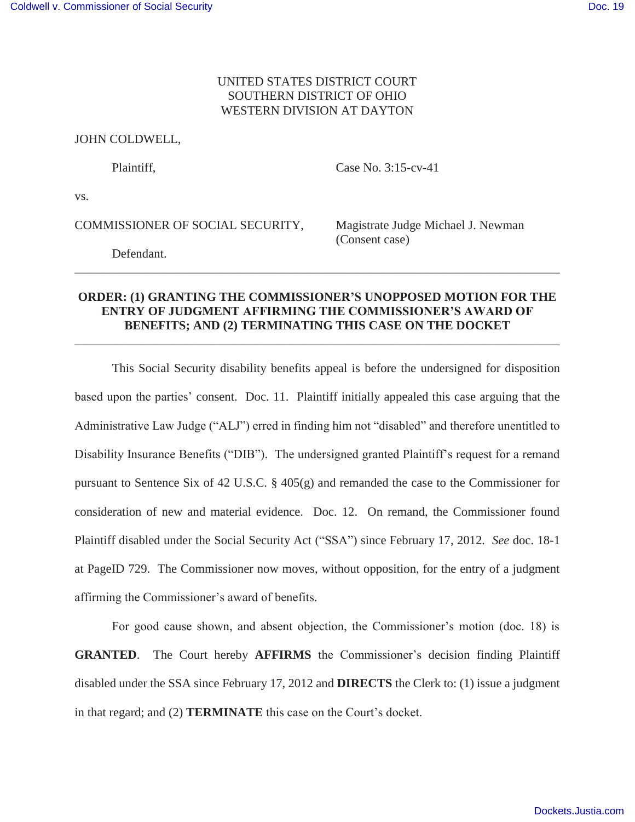## UNITED STATES DISTRICT COURT SOUTHERN DISTRICT OF OHIO WESTERN DIVISION AT DAYTON

## JOHN COLDWELL,

Plaintiff, Case No. 3:15-cv-41

vs.

COMMISSIONER OF SOCIAL SECURITY, Magistrate Judge Michael J. Newman

(Consent case)

Defendant.

## **ORDER: (1) GRANTING THE COMMISSIONER'S UNOPPOSED MOTION FOR THE ENTRY OF JUDGMENT AFFIRMING THE COMMISSIONER'S AWARD OF BENEFITS; AND (2) TERMINATING THIS CASE ON THE DOCKET**

\_\_\_\_\_\_\_\_\_\_\_\_\_\_\_\_\_\_\_\_\_\_\_\_\_\_\_\_\_\_\_\_\_\_\_\_\_\_\_\_\_\_\_\_\_\_\_\_\_\_\_\_\_\_\_\_\_\_\_\_\_\_\_\_\_\_\_\_\_\_\_\_\_\_\_\_\_\_

\_\_\_\_\_\_\_\_\_\_\_\_\_\_\_\_\_\_\_\_\_\_\_\_\_\_\_\_\_\_\_\_\_\_\_\_\_\_\_\_\_\_\_\_\_\_\_\_\_\_\_\_\_\_\_\_\_\_\_\_\_\_\_\_\_\_\_\_\_\_\_\_\_\_\_\_\_\_

This Social Security disability benefits appeal is before the undersigned for disposition based upon the parties' consent. Doc. 11. Plaintiff initially appealed this case arguing that the Administrative Law Judge ("ALJ") erred in finding him not "disabled" and therefore unentitled to Disability Insurance Benefits ("DIB"). The undersigned granted Plaintiff's request for a remand pursuant to Sentence Six of 42 U.S.C. § 405(g) and remanded the case to the Commissioner for consideration of new and material evidence. Doc. 12. On remand, the Commissioner found Plaintiff disabled under the Social Security Act ("SSA") since February 17, 2012. *See* doc. 18-1 at PageID 729. The Commissioner now moves, without opposition, for the entry of a judgment affirming the Commissioner's award of benefits.

For good cause shown, and absent objection, the Commissioner's motion (doc. 18) is **GRANTED**. The Court hereby **AFFIRMS** the Commissioner's decision finding Plaintiff disabled under the SSA since February 17, 2012 and **DIRECTS** the Clerk to: (1) issue a judgment in that regard; and (2) **TERMINATE** this case on the Court's docket.